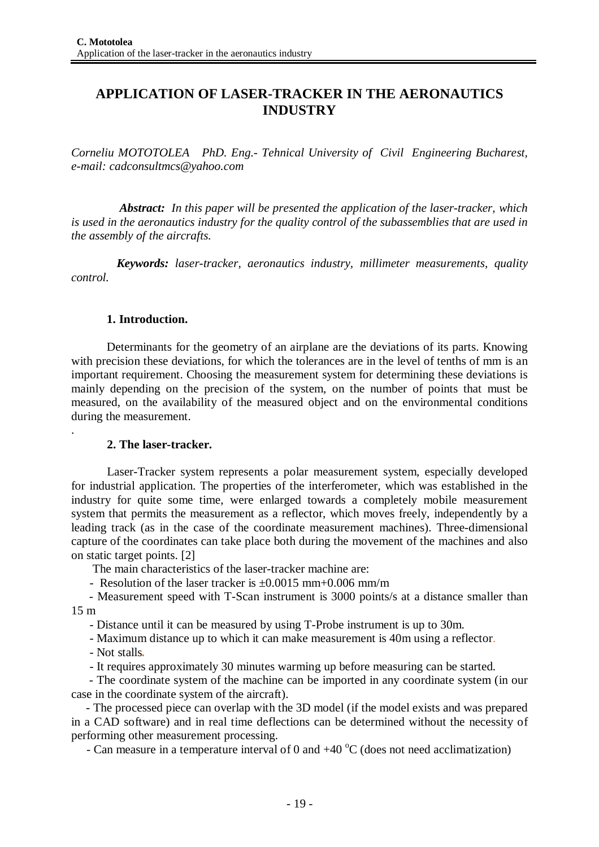# **APPLICATION OF LASER-TRACKER IN THE AERONAUTICS INDUSTRY**

*Corneliu MOTOTOLEA PhD. Eng.- Tehnical University of Civil Engineering Bucharest, e-mail: [cadconsultmcs@yahoo.com](mailto:cadconsultmcs@yahoo.com)*

*Abstract: In this paper will be presented the application of the laser-tracker, which is used in the aeronautics industry for the quality control of the subassemblies that are used in the assembly of the aircrafts.*

*Keywords: laser-tracker, aeronautics industry, millimeter measurements, quality control.*

### **1. Introduction.**

Determinants for the geometry of an airplane are the deviations of its parts. Knowing with precision these deviations, for which the tolerances are in the level of tenths of mm is an important requirement. Choosing the measurement system for determining these deviations is mainly depending on the precision of the system, on the number of points that must be measured, on the availability of the measured object and on the environmental conditions during the measurement.

## **2. The laser-tracker.**

Laser-Tracker system represents a polar measurement system, especially developed for industrial application. The properties of the interferometer, which was established in the industry for quite some time, were enlarged towards a completely mobile measurement system that permits the measurement as a reflector, which moves freely, independently by a leading track (as in the case of the coordinate measurement machines). Three-dimensional capture of the coordinates can take place both during the movement of the machines and also on static target points. [2]

The main characteristics of the laser-tracker machine are:

- Resolution of the laser tracker is  $\pm 0.0015$  mm+0.006 mm/m

- Measurement speed with T-Scan instrument is 3000 points/s at a distance smaller than 15 m

- Distance until it can be measured by using T-Probe instrument is up to 30m.

- Maximum distance up to which it can make measurement is 40m using a reflector.

- Not stalls*.*

.

- It requires approximately 30 minutes warming up before measuring can be started.

- The coordinate system of the machine can be imported in any coordinate system (in our case in the coordinate system of the aircraft).

- The processed piece can overlap with the 3D model (if the model exists and was prepared in a CAD software) and in real time deflections can be determined without the necessity of performing other measurement processing.

- Can measure in a temperature interval of 0 and  $+40^{\circ}$ C (does not need acclimatization)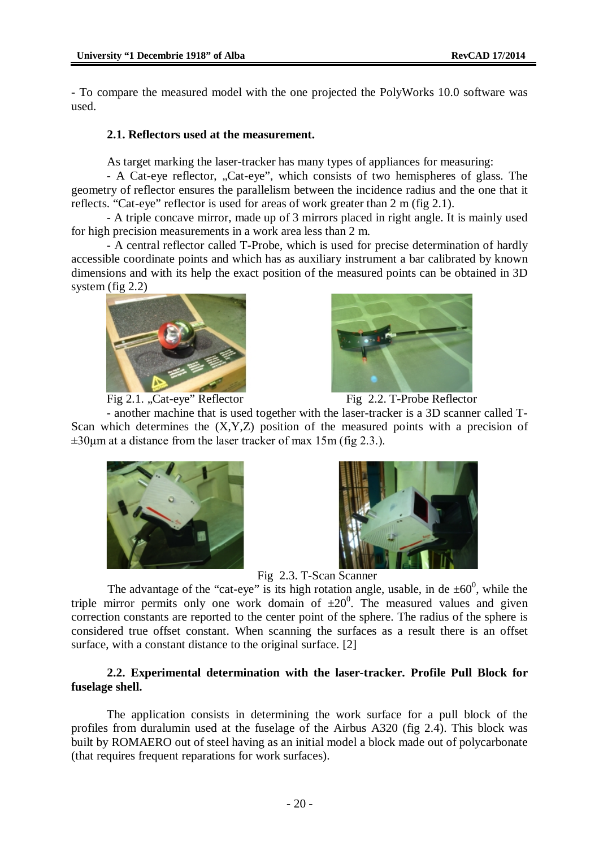- To compare the measured model with the one projected the PolyWorks 10.0 software was used.

#### **2.1. Reflectors used at the measurement.**

As target marking the laser-tracker has many types of appliances for measuring:

- A Cat-eye reflector, "Cat-eye", which consists of two hemispheres of glass. The geometry of reflector ensures the parallelism between the incidence radius and the one that it reflects. "Cat-eye" reflector is used for areas of work greater than 2 m (fig 2.1).

- A triple concave mirror, made up of 3 mirrors placed in right angle. It is mainly used for high precision measurements in a work area less than 2 m.

- A central reflector called T-Probe, which is used for precise determination of hardly accessible coordinate points and which has as auxiliary instrument a bar calibrated by known dimensions and with its help the exact position of the measured points can be obtained in 3D system (fig 2.2)



Fig 2.1. "Cat-eye" Reflector Fig 2.2. T-Probe Reflector



- another machine that is used together with the laser-tracker is a 3D scanner called T-Scan which determines the (X,Y,Z) position of the measured points with a precision of  $\pm 30 \mu$ m at a distance from the laser tracker of max 15m (fig 2.3.).





Fig 2.3. T-Scan Scanner

The advantage of the "cat-eye" is its high rotation angle, usable, in de  $\pm 60^{\circ}$ , while the triple mirror permits only one work domain of  $\pm 20^0$ . The measured values and given correction constants are reported to the center point of the sphere. The radius of the sphere is considered true offset constant. When scanning the surfaces as a result there is an offset surface, with a constant distance to the original surface. [2]

## **2.2. Experimental determination with the laser-tracker. Profile Pull Block for fuselage shell.**

The application consists in determining the work surface for a pull block of the profiles from duralumin used at the fuselage of the Airbus A320 (fig 2.4). This block was built by ROMAERO out of steel having as an initial model a block made out of polycarbonate (that requires frequent reparations for work surfaces).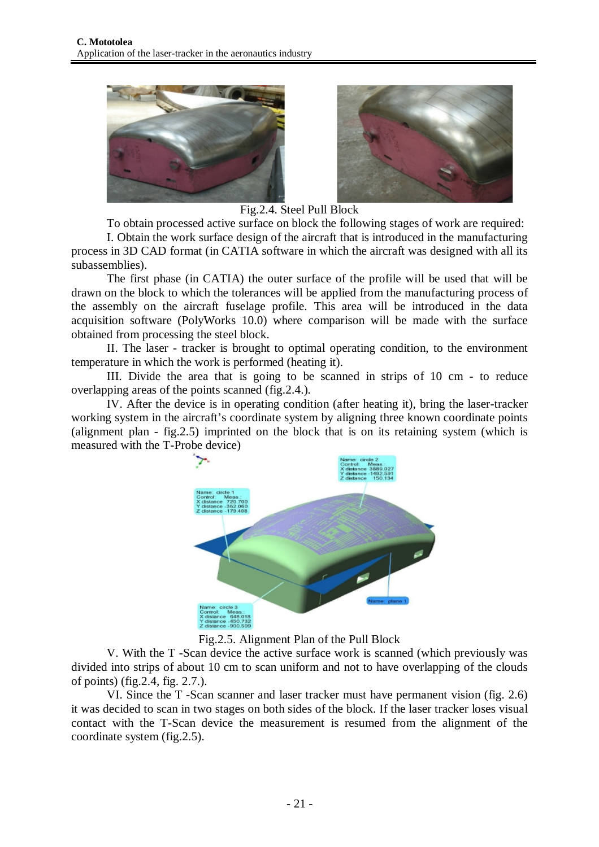



Fig.2.4. Steel Pull Block

To obtain processed active surface on block the following stages of work are required:

I. Obtain the work surface design of the aircraft that is introduced in the manufacturing process in 3D CAD format (in CATIA software in which the aircraft was designed with all its subassemblies).

The first phase (in CATIA) the outer surface of the profile will be used that will be drawn on the block to which the tolerances will be applied from the manufacturing process of the assembly on the aircraft fuselage profile. This area will be introduced in the data acquisition software (PolyWorks 10.0) where comparison will be made with the surface obtained from processing the steel block.

II. The laser - tracker is brought to optimal operating condition, to the environment temperature in which the work is performed (heating it).

III. Divide the area that is going to be scanned in strips of 10 cm - to reduce overlapping areas of the points scanned (fig.2.4.).

IV. After the device is in operating condition (after heating it), bring the laser-tracker working system in the aircraft's coordinate system by aligning three known coordinate points (alignment plan - fig.2.5) imprinted on the block that is on its retaining system (which is measured with the T-Probe device)



Fig.2.5. Alignment Plan of the Pull Block

V. With the T -Scan device the active surface work is scanned (which previously was divided into strips of about 10 cm to scan uniform and not to have overlapping of the clouds of points) (fig.2.4, fig. 2.7.).

VI. Since the T -Scan scanner and laser tracker must have permanent vision (fig. 2.6) it was decided to scan in two stages on both sides of the block. If the laser tracker loses visual contact with the T-Scan device the measurement is resumed from the alignment of the coordinate system (fig.2.5).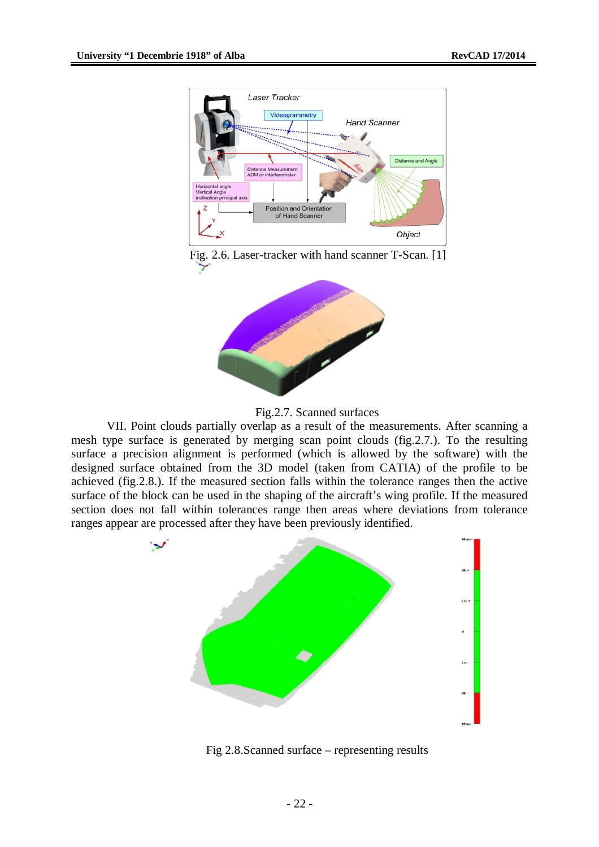

Fig. 2.6. Laser-tracker with hand scanner T-Scan. [1]





VII. Point clouds partially overlap as a result of the measurements. After scanning a mesh type surface is generated by merging scan point clouds (fig.2.7.). To the resulting surface a precision alignment is performed (which is allowed by the software) with the designed surface obtained from the 3D model (taken from CATIA) of the profile to be achieved (fig.2.8.). If the measured section falls within the tolerance ranges then the active surface of the block can be used in the shaping of the aircraft's wing profile. If the measured section does not fall within tolerances range then areas where deviations from tolerance ranges appear are processed after they have been previously identified.



Fig 2.8.Scanned surface – representing results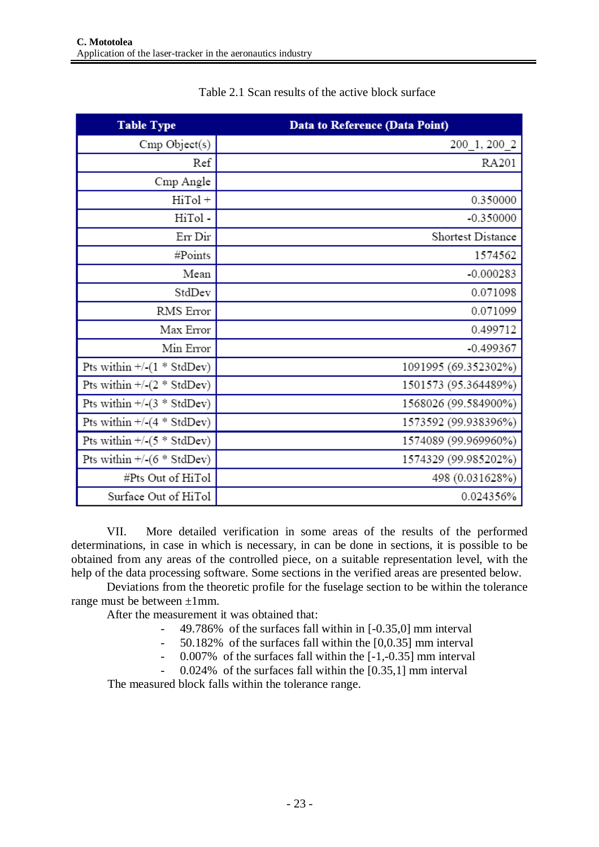| <b>Table Type</b>                       | <b>Data to Reference (Data Point)</b> |
|-----------------------------------------|---------------------------------------|
| Cmp Object(s)                           | 200 1, 200 2                          |
| Ref                                     | RA201                                 |
| Cmp Angle                               |                                       |
| HiTol +                                 | 0.350000                              |
| HiTol-                                  | $-0.350000$                           |
| Err Dir                                 | Shortest Distance                     |
| #Points                                 | 1574562                               |
| Mean                                    | $-0.000283$                           |
| StdDev                                  | 0.071098                              |
| RMS Error                               | 0.071099                              |
| Max Error                               | 0.499712                              |
| Min Error                               | $-0.499367$                           |
| Pts within $+/-(1 * \text{StdDev})$     | 1091995 (69.352302%)                  |
| Pts within $+$ /- $(2 * \text{StdDev})$ | 1501573 (95.364489%)                  |
| Pts within $+$ /-(3 * StdDev)           | 1568026 (99.584900%)                  |
| Pts within $+$ /- $(4 * \text{StdDev})$ | 1573592 (99.938396%)                  |
| Pts within $+$ /- $(5 * \text{StdDev})$ | 1574089 (99.969960%)                  |
| Pts within $+$ /- $(6 * \text{StdDev})$ | 1574329 (99.985202%)                  |
| #Pts Out of HiTol                       | 498 (0.031628%)                       |
| Surface Out of HiTol                    | 0.024356%                             |

# Table 2.1 Scan results of the active block surface

VII. More detailed verification in some areas of the results of the performed determinations, in case in which is necessary, in can be done in sections, it is possible to be obtained from any areas of the controlled piece, on a suitable representation level, with the help of the data processing software. Some sections in the verified areas are presented below.

Deviations from the theoretic profile for the fuselage section to be within the tolerance range must be between  $\pm 1$ mm.

After the measurement it was obtained that:

- 49.786% of the surfaces fall within in [-0.35,0] mm interval
	- 50.182% of the surfaces fall within the [0,0.35] mm interval
- 0.007% of the surfaces fall within the [-1,-0.35] mm interval
- 0.024% of the surfaces fall within the [0.35,1] mm interval

The measured block falls within the tolerance range.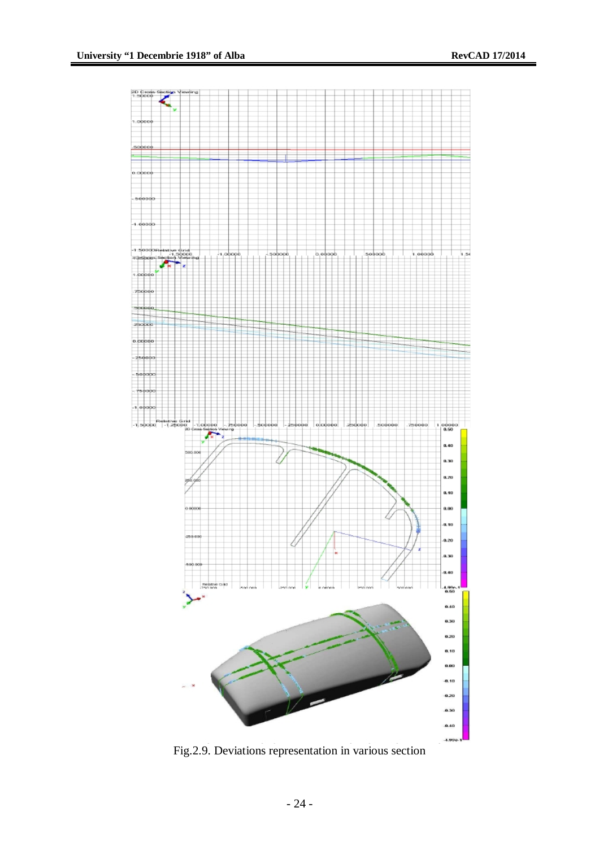

Fig.2.9. Deviations representation in various section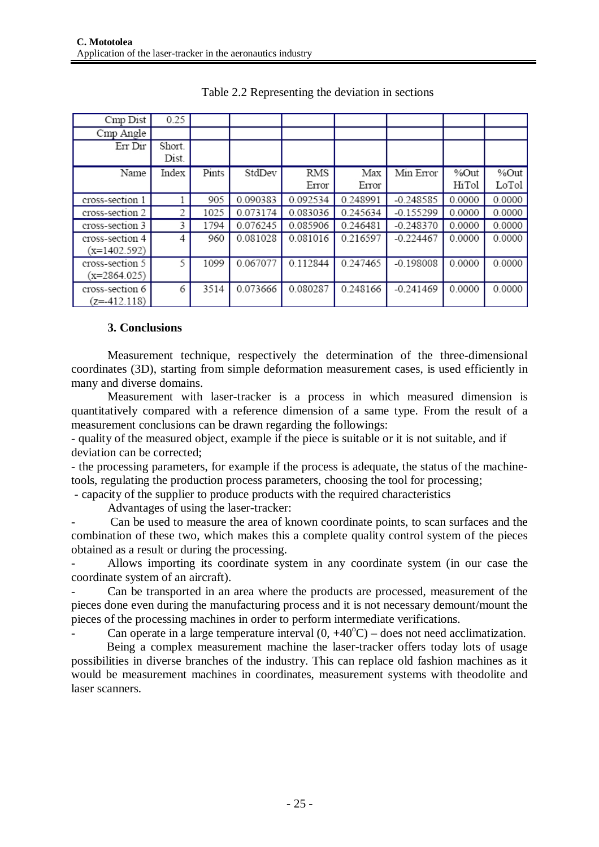| Cmp Dist                          | 0.25   |       |          |          |          |             |        |        |
|-----------------------------------|--------|-------|----------|----------|----------|-------------|--------|--------|
| Cmp Angle                         |        |       |          |          |          |             |        |        |
| Err Dir                           | Short. |       |          |          |          |             |        |        |
|                                   | Dist.  |       |          |          |          |             |        |        |
| Name                              | Index  | Pints | StdDev   | RMS      | Max      | Min Error   | %Out   | %Out   |
|                                   |        |       |          | Error    | Error    |             | HiTol  | LoTol  |
| cross-section 1                   |        | 905   | 0.090383 | 0.092534 | 0.248991 | $-0.248585$ | 0.0000 | 0.0000 |
| cross-section 2                   | 2      | 1025  | 0.073174 | 0.083036 | 0.245634 | $-0.155299$ | 0.0000 | 0.0000 |
| cross-section 3                   | 3      | 1794  | 0.076245 | 0.085906 | 0.246481 | $-0.248370$ | 0.0000 | 0.0000 |
| cross-section 4                   | 4      | 960   | 0.081028 | 0.081016 | 0.216597 | $-0.224467$ | 0.0000 | 0.0000 |
| $(x=1402.592)$                    |        |       |          |          |          |             |        |        |
| cross-section 5<br>$(x=2864.025)$ | 5      | 1099  | 0.067077 | 0.112844 | 0.247465 | $-0.198008$ | 0.0000 | 0.0000 |
| cross-section 6<br>$(z=412.118)$  | 6      | 3514  | 0.073666 | 0.080287 | 0.248166 | $-0.241469$ | 0.0000 | 0.0000 |

Table 2.2 Representing the deviation in sections

### **3. Conclusions**

Measurement technique, respectively the determination of the three-dimensional coordinates (3D), starting from simple deformation measurement cases, is used efficiently in many and diverse domains.

Measurement with laser-tracker is a process in which measured dimension is quantitatively compared with a reference dimension of a same type. From the result of a measurement conclusions can be drawn regarding the followings:

- quality of the measured object, example if the piece is suitable or it is not suitable, and if deviation can be corrected;

- the processing parameters, for example if the process is adequate, the status of the machinetools, regulating the production process parameters, choosing the tool for processing;

- capacity of the supplier to produce products with the required characteristics

Advantages of using the laser-tracker:

Can be used to measure the area of known coordinate points, to scan surfaces and the combination of these two, which makes this a complete quality control system of the pieces obtained as a result or during the processing.

- Allows importing its coordinate system in any coordinate system (in our case the coordinate system of an aircraft).

- Can be transported in an area where the products are processed, measurement of the pieces done even during the manufacturing process and it is not necessary demount/mount the pieces of the processing machines in order to perform intermediate verifications.

Can operate in a large temperature interval  $(0, +40^{\circ}C)$  – does not need acclimatization.

Being a complex measurement machine the laser-tracker offers today lots of usage possibilities in diverse branches of the industry. This can replace old fashion machines as it would be measurement machines in coordinates, measurement systems with theodolite and laser scanners.